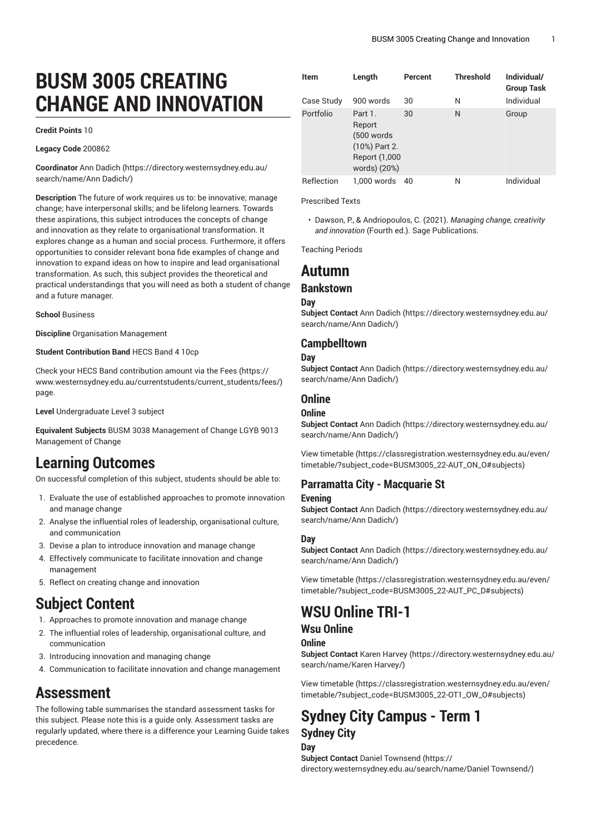# **BUSM 3005 CREATING CHANGE AND INNOVATION**

#### **Credit Points** 10

**Legacy Code** 200862

**Coordinator** [Ann Dadich \(https://directory.westernsydney.edu.au/](https://directory.westernsydney.edu.au/search/name/Ann Dadich/) [search/name/Ann](https://directory.westernsydney.edu.au/search/name/Ann Dadich/) Dadich/)

**Description** The future of work requires us to: be innovative; manage change; have interpersonal skills; and be lifelong learners. Towards these aspirations, this subject introduces the concepts of change and innovation as they relate to organisational transformation. It explores change as a human and social process. Furthermore, it offers opportunities to consider relevant bona fide examples of change and innovation to expand ideas on how to inspire and lead organisational transformation. As such, this subject provides the theoretical and practical understandings that you will need as both a student of change and a future manager.

#### **School** Business

**Discipline** Organisation Management

#### **Student Contribution Band** HECS Band 4 10cp

Check your HECS Band contribution amount via the [Fees \(https://](https://www.westernsydney.edu.au/currentstudents/current_students/fees/) [www.westernsydney.edu.au/currentstudents/current\\_students/fees/\)](https://www.westernsydney.edu.au/currentstudents/current_students/fees/) page.

**Level** Undergraduate Level 3 subject

**Equivalent Subjects** BUSM 3038 Management of Change LGYB 9013 Management of Change

# **Learning Outcomes**

On successful completion of this subject, students should be able to:

- 1. Evaluate the use of established approaches to promote innovation and manage change
- 2. Analyse the influential roles of leadership, organisational culture, and communication
- 3. Devise a plan to introduce innovation and manage change
- 4. Effectively communicate to facilitate innovation and change management
- 5. Reflect on creating change and innovation

## **Subject Content**

- 1. Approaches to promote innovation and manage change
- 2. The influential roles of leadership, organisational culture, and communication
- 3. Introducing innovation and managing change
- 4. Communication to facilitate innovation and change management

## **Assessment**

The following table summarises the standard assessment tasks for this subject. Please note this is a guide only. Assessment tasks are regularly updated, where there is a difference your Learning Guide takes precedence.

| <b>Item</b> | Length<br>900 words                                                                | Percent | <b>Threshold</b> | Individual/<br><b>Group Task</b><br>Individual |
|-------------|------------------------------------------------------------------------------------|---------|------------------|------------------------------------------------|
| Case Study  |                                                                                    | 30      | N                |                                                |
| Portfolio   | Part 1.<br>Report<br>(500 words)<br>(10%) Part 2.<br>Report (1,000<br>words) (20%) | 30      | N                | Group                                          |
| Reflection  | 1,000 words                                                                        | 40      | Ν                | Individual                                     |

#### Prescribed Texts

• Dawson, P., & Andriopoulos, C. (2021). *Managing change, creativity and innovation* (Fourth ed.). Sage Publications.

Teaching Periods

## **Autumn**

### **Bankstown**

#### **Day**

**Subject Contact** [Ann Dadich](https://directory.westernsydney.edu.au/search/name/Ann Dadich/) ([https://directory.westernsydney.edu.au/](https://directory.westernsydney.edu.au/search/name/Ann Dadich/) [search/name/Ann](https://directory.westernsydney.edu.au/search/name/Ann Dadich/) Dadich/)

### **Campbelltown**

#### **Day**

**Subject Contact** [Ann Dadich](https://directory.westernsydney.edu.au/search/name/Ann Dadich/) ([https://directory.westernsydney.edu.au/](https://directory.westernsydney.edu.au/search/name/Ann Dadich/) [search/name/Ann](https://directory.westernsydney.edu.au/search/name/Ann Dadich/) Dadich/)

### **Online**

### **Online**

**Subject Contact** [Ann Dadich](https://directory.westernsydney.edu.au/search/name/Ann Dadich/) ([https://directory.westernsydney.edu.au/](https://directory.westernsydney.edu.au/search/name/Ann Dadich/) [search/name/Ann](https://directory.westernsydney.edu.au/search/name/Ann Dadich/) Dadich/)

[View timetable](https://classregistration.westernsydney.edu.au/even/timetable/?subject_code=BUSM3005_22-AUT_ON_O#subjects) [\(https://classregistration.westernsydney.edu.au/even/](https://classregistration.westernsydney.edu.au/even/timetable/?subject_code=BUSM3005_22-AUT_ON_O#subjects) [timetable/?subject\\_code=BUSM3005\\_22-AUT\\_ON\\_O#subjects\)](https://classregistration.westernsydney.edu.au/even/timetable/?subject_code=BUSM3005_22-AUT_ON_O#subjects)

## **Parramatta City - Macquarie St**

### **Evening**

**Subject Contact** [Ann Dadich](https://directory.westernsydney.edu.au/search/name/Ann Dadich/) ([https://directory.westernsydney.edu.au/](https://directory.westernsydney.edu.au/search/name/Ann Dadich/) [search/name/Ann](https://directory.westernsydney.edu.au/search/name/Ann Dadich/) Dadich/)

#### **Day**

**Subject Contact** [Ann Dadich](https://directory.westernsydney.edu.au/search/name/Ann Dadich/) ([https://directory.westernsydney.edu.au/](https://directory.westernsydney.edu.au/search/name/Ann Dadich/) [search/name/Ann](https://directory.westernsydney.edu.au/search/name/Ann Dadich/) Dadich/)

[View timetable](https://classregistration.westernsydney.edu.au/even/timetable/?subject_code=BUSM3005_22-AUT_PC_D#subjects) [\(https://classregistration.westernsydney.edu.au/even/](https://classregistration.westernsydney.edu.au/even/timetable/?subject_code=BUSM3005_22-AUT_PC_D#subjects) [timetable/?subject\\_code=BUSM3005\\_22-AUT\\_PC\\_D#subjects](https://classregistration.westernsydney.edu.au/even/timetable/?subject_code=BUSM3005_22-AUT_PC_D#subjects))

# **WSU Online TRI-1**

### **Wsu Online**

### **Online**

**Subject Contact** Karen [Harvey \(https://directory.westernsydney.edu.au/](https://directory.westernsydney.edu.au/search/name/Karen Harvey/) [search/name/Karen](https://directory.westernsydney.edu.au/search/name/Karen Harvey/) Harvey/)

[View timetable](https://classregistration.westernsydney.edu.au/even/timetable/?subject_code=BUSM3005_22-OT1_OW_O#subjects) [\(https://classregistration.westernsydney.edu.au/even/](https://classregistration.westernsydney.edu.au/even/timetable/?subject_code=BUSM3005_22-OT1_OW_O#subjects) [timetable/?subject\\_code=BUSM3005\\_22-OT1\\_OW\\_O#subjects](https://classregistration.westernsydney.edu.au/even/timetable/?subject_code=BUSM3005_22-OT1_OW_O#subjects))

## **Sydney City Campus - Term 1 Sydney City Day**

**Subject Contact** Daniel [Townsend](https://directory.westernsydney.edu.au/search/name/Daniel Townsend/) ([https://](https://directory.westernsydney.edu.au/search/name/Daniel Townsend/) [directory.westernsydney.edu.au/search/name/Daniel](https://directory.westernsydney.edu.au/search/name/Daniel Townsend/) Townsend/)